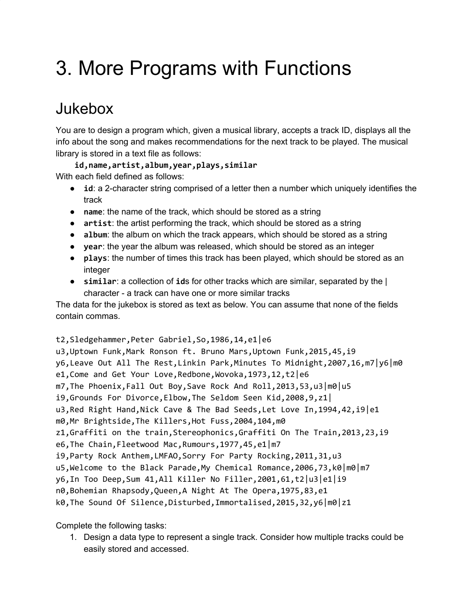# 3. More Programs with Functions

### Jukebox

You are to design a program which, given a musical library, accepts a track ID, displays all the info about the song and makes recommendations for the next track to be played. The musical library is stored in a text file as follows:

**id,name,artist,album,year,plays,similar** With each field defined as follows:

- **id**: a 2-character string comprised of a letter then a number which uniquely identifies the track
- **name:** the name of the track, which should be stored as a string
- **artist**: the artist performing the track, which should be stored as a string
- **album**: the album on which the track appears, which should be stored as a string
- **year**: the year the album was released, which should be stored as an integer
- **plays**: the number of times this track has been played, which should be stored as an integer
- **similar**: a collection of **id**s for other tracks which are similar, separated by the | character - a track can have one or more similar tracks

The data for the jukebox is stored as text as below. You can assume that none of the fields contain commas.

#### t2,Sledgehammer,Peter Gabriel,So,1986,14,e1|e6

u3,Uptown Funk,Mark Ronson ft. Bruno Mars,Uptown Funk,2015,45,i9 y6,Leave Out All The Rest,Linkin Park,Minutes To Midnight,2007,16,m7|y6|m0 e1, Come and Get Your Love, Redbone, Wovoka, 1973, 12, t2 e6 m7,The Phoenix,Fall Out Boy,Save Rock And Roll,2013,53,u3|m0|u5 i9,Grounds For Divorce,Elbow,The Seldom Seen Kid,2008,9,z1| u3, Red Right Hand, Nick Cave & The Bad Seeds, Let Love In, 1994, 42, i9 e1 m0,Mr Brightside,The Killers,Hot Fuss,2004,104,m0 z1,Graffiti on the train,Stereophonics,Graffiti On The Train,2013,23,i9 e6,The Chain,Fleetwood Mac,Rumours,1977,45,e1|m7 i9,Party Rock Anthem,LMFAO,Sorry For Party Rocking,2011,31,u3 u5, Welcome to the Black Parade, My Chemical Romance, 2006, 73, k0 | m0 | m7 y6,In Too Deep,Sum 41,All Killer No Filler,2001,61,t2|u3|e1|i9 n0,Bohemian Rhapsody,Queen,A Night At The Opera,1975,83,e1 k0,The Sound Of Silence,Disturbed,Immortalised,2015,32,y6|m0|z1

Complete the following tasks:

1. Design a data type to represent a single track. Consider how multiple tracks could be easily stored and accessed.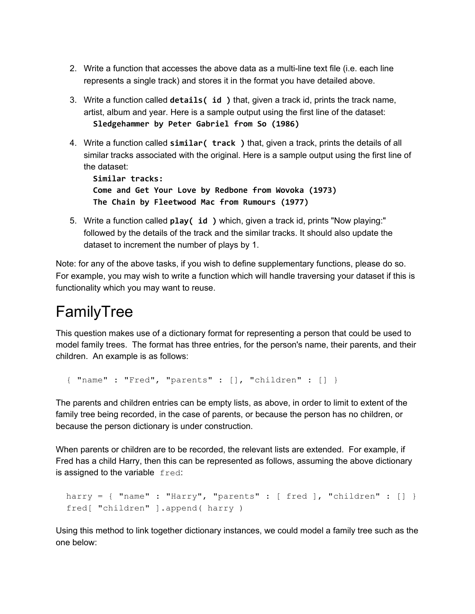- 2. Write a function that accesses the above data as a multi-line text file (i.e. each line represents a single track) and stores it in the format you have detailed above.
- 3. Write a function called **details( id )** that, given a track id, prints the track name, artist, album and year. Here is a sample output using the first line of the dataset: **Sledgehammer by Peter Gabriel from So (1986)**
- 4. Write a function called **similar( track )** that, given a track, prints the details of all similar tracks associated with the original. Here is a sample output using the first line of the dataset:

**Similar tracks: Come and Get Your Love by Redbone from Wovoka (1973) The Chain by Fleetwood Mac from Rumours (1977)**

5. Write a function called **play( id )** which, given a track id, prints "Now playing:" followed by the details of the track and the similar tracks. It should also update the dataset to increment the number of plays by 1.

Note: for any of the above tasks, if you wish to define supplementary functions, please do so. For example, you may wish to write a function which will handle traversing your dataset if this is functionality which you may want to reuse.

## FamilyTree

This question makes use of a dictionary format for representing a person that could be used to model family trees. The format has three entries, for the person's name, their parents, and their children. An example is as follows:

```
{ "name" : "Fred", "parents" : [], "children" : [] }
```
The parents and children entries can be empty lists, as above, in order to limit to extent of the family tree being recorded, in the case of parents, or because the person has no children, or because the person dictionary is under construction.

When parents or children are to be recorded, the relevant lists are extended. For example, if Fred has a child Harry, then this can be represented as follows, assuming the above dictionary is assigned to the variable fred:

```
harry = { "name" : "Harry", "parents" : [ fred ], "children" : [] }
fred[ "children" ].append( harry )
```
Using this method to link together dictionary instances, we could model a family tree such as the one below: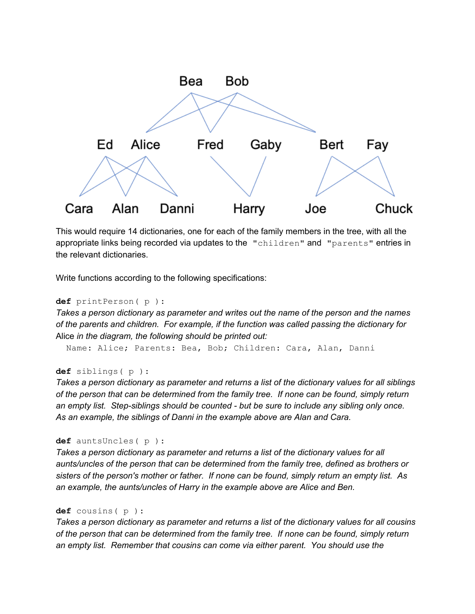

This would require 14 dictionaries, one for each of the family members in the tree, with all the appropriate links being recorded via updates to the "children" and "parents" entries in the relevant dictionaries.

Write functions according to the following specifications:

```
def printPerson( p ):
```
*Takes a person dictionary as parameter and writes out the name of the person and the names of the parents and children. For example, if the function was called passing the dictionary for* Alice *in the diagram, the following should be printed out:*

Name: Alice; Parents: Bea, Bob; Children: Cara, Alan, Danni

#### **def** siblings( p ):

*Takes a person dictionary as parameter and returns a list of the dictionary values for all siblings of the person that can be determined from the family tree. If none can be found, simply return an empty list. Step-siblings should be counted - but be sure to include any sibling only once. As an example, the siblings of Danni in the example above are Alan and Cara.*

#### **def** auntsUncles( p ):

*Takes a person dictionary as parameter and returns a list of the dictionary values for all aunts/uncles of the person that can be determined from the family tree, defined as brothers or sisters of the person's mother or father. If none can be found, simply return an empty list. As an example, the aunts/uncles of Harry in the example above are Alice and Ben.*

#### **def** cousins( p ):

*Takes a person dictionary as parameter and returns a list of the dictionary values for all cousins of the person that can be determined from the family tree. If none can be found, simply return an empty list. Remember that cousins can come via either parent. You should use the*